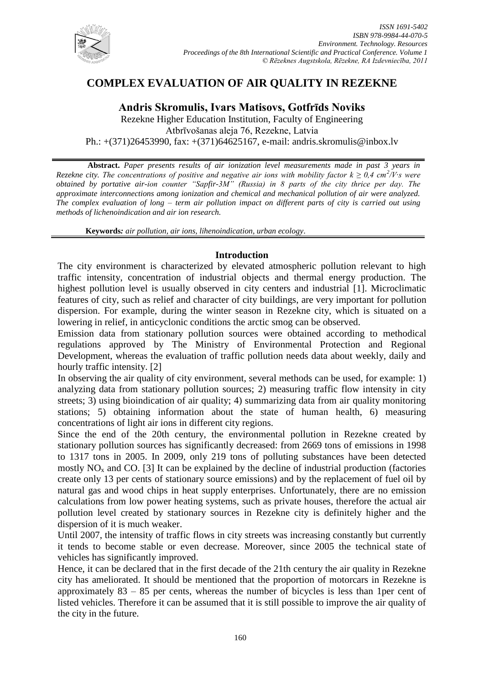

# **COMPLEX EVALUATION OF AIR QUALITY IN REZEKNE**

## **Andris Skromulis, Ivars Matisovs, Gotfrīds Noviks**

Rezekne Higher Education Institution, Faculty of Engineering Atbrīvošanas aleja 76, Rezekne, Latvia Ph.: +(371)26453990, fax: +(371)64625167, e-mail: andris.skromulis@inbox.lv

**Abstract.** *Paper presents results of air ionization level measurements made in past 3 years in Rezekne city. The concentrations of positive and negative air ions with mobility factor*  $k \geq 0.4$  *cm<sup>2</sup>/V·s were obtained by portative air-ion counter "Sapfir-3M" (Russia) in 8 parts of the city thrice per day. The approximate interconnections among ionization and chemical and mechanical pollution of air were analyzed. The complex evaluation of long – term air pollution impact on different parts of city is carried out using methods of lichenoindication and air ion research.*

**Keywords***: air pollution, air ions, lihenoindication, urban ecology.*

### **Introduction**

The city environment is characterized by elevated atmospheric pollution relevant to high traffic intensity, concentration of industrial objects and thermal energy production. The highest pollution level is usually observed in city centers and industrial [1]. Microclimatic features of city, such as relief and character of city buildings, are very important for pollution dispersion. For example, during the winter season in Rezekne city, which is situated on a lowering in relief, in anticyclonic conditions the arctic smog can be observed.

Emission data from stationary pollution sources were obtained according to methodical regulations approved by The Ministry of Environmental Protection and Regional Development, whereas the evaluation of traffic pollution needs data about weekly, daily and hourly traffic intensity. [2]

In observing the air quality of city environment, several methods can be used, for example: 1) analyzing data from stationary pollution sources; 2) measuring traffic flow intensity in city streets; 3) using bioindication of air quality; 4) summarizing data from air quality monitoring stations; 5) obtaining information about the state of human health, 6) measuring concentrations of light air ions in different city regions.

Since the end of the 20th century, the environmental pollution in Rezekne created by stationary pollution sources has significantly decreased: from 2669 tons of emissions in 1998 to 1317 tons in 2005. In 2009, only 219 tons of polluting substances have been detected mostly  $NO<sub>x</sub>$  and CO. [3] It can be explained by the decline of industrial production (factories create only 13 per cents of stationary source emissions) and by the replacement of fuel oil by natural gas and wood chips in heat supply enterprises. Unfortunately, there are no emission calculations from low power heating systems, such as private houses, therefore the actual air pollution level created by stationary sources in Rezekne city is definitely higher and the dispersion of it is much weaker.

Until 2007, the intensity of traffic flows in city streets was increasing constantly but currently it tends to become stable or even decrease. Moreover, since 2005 the technical state of vehicles has significantly improved.

Hence, it can be declared that in the first decade of the 21th century the air quality in Rezekne city has ameliorated. It should be mentioned that the proportion of motorcars in Rezekne is approximately 83 – 85 per cents, whereas the number of bicycles is less than 1per cent of listed vehicles. Therefore it can be assumed that it is still possible to improve the air quality of the city in the future.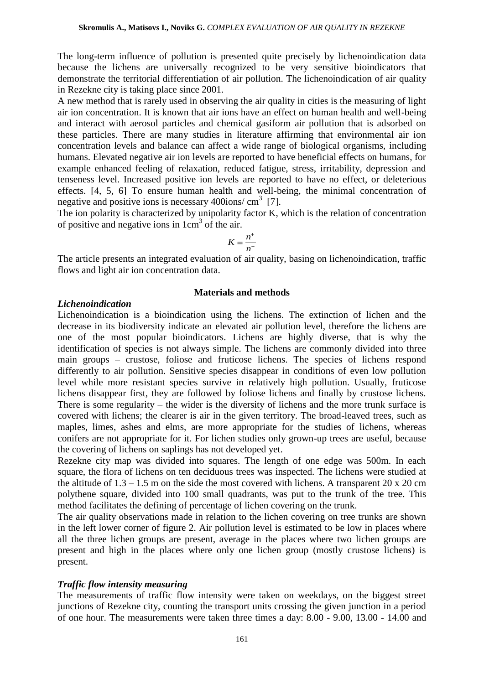The long-term influence of pollution is presented quite precisely by lichenoindication data because the lichens are universally recognized to be very sensitive bioindicators that demonstrate the territorial differentiation of air pollution. The lichenoindication of air quality in Rezekne city is taking place since 2001.

A new method that is rarely used in observing the air quality in cities is the measuring of light air ion concentration. It is known that air ions have an effect on human health and well-being and interact with aerosol particles and chemical gasiform air pollution that is adsorbed on these particles. There are many studies in literature affirming that environmental air ion concentration levels and balance can affect a wide range of biological organisms, including humans. Elevated negative air ion levels are reported to have beneficial effects on humans, for example enhanced feeling of relaxation, reduced fatigue, stress, irritability, depression and tenseness level. Increased positive ion levels are reported to have no effect, or deleterious effects. [4, 5, 6] To ensure human health and well-being, the minimal concentration of negative and positive ions is necessary 400ions/ $\text{cm}^3$  [7].

The ion polarity is characterized by unipolarity factor K, which is the relation of concentration of positive and negative ions in  $1 \text{cm}^3$  of the air.

$$
K=\frac{n^+}{n^-}
$$

The article presents an integrated evaluation of air quality, basing on lichenoindication, traffic flows and light air ion concentration data.

#### **Materials and methods**

#### *Lichenoindication*

Lichenoindication is a bioindication using the lichens. The extinction of lichen and the decrease in its biodiversity indicate an elevated air pollution level, therefore the lichens are one of the most popular bioindicators. Lichens are highly diverse, that is why the identification of species is not always simple. The lichens are commonly divided into three main groups – crustose, foliose and fruticose lichens. The species of lichens respond differently to air pollution. Sensitive species disappear in conditions of even low pollution level while more resistant species survive in relatively high pollution. Usually, fruticose lichens disappear first, they are followed by foliose lichens and finally by crustose lichens. There is some regularity – the wider is the diversity of lichens and the more trunk surface is covered with lichens; the clearer is air in the given territory. The broad-leaved trees, such as maples, limes, ashes and elms, are more appropriate for the studies of lichens, whereas conifers are not appropriate for it. For lichen studies only grown-up trees are useful, because the covering of lichens on saplings has not developed yet.

Rezekne city map was divided into squares. The length of one edge was 500m. In each square, the flora of lichens on ten deciduous trees was inspected. The lichens were studied at the altitude of  $1.3 - 1.5$  m on the side the most covered with lichens. A transparent 20 x 20 cm polythene square, divided into 100 small quadrants, was put to the trunk of the tree. This method facilitates the defining of percentage of lichen covering on the trunk.

The air quality observations made in relation to the lichen covering on tree trunks are shown in the left lower corner of figure 2. Air pollution level is estimated to be low in places where all the three lichen groups are present, average in the places where two lichen groups are present and high in the places where only one lichen group (mostly crustose lichens) is present.

#### *Traffic flow intensity measuring*

The measurements of traffic flow intensity were taken on weekdays, on the biggest street junctions of Rezekne city, counting the transport units crossing the given junction in a period of one hour. The measurements were taken three times a day: 8.00 - 9.00, 13.00 - 14.00 and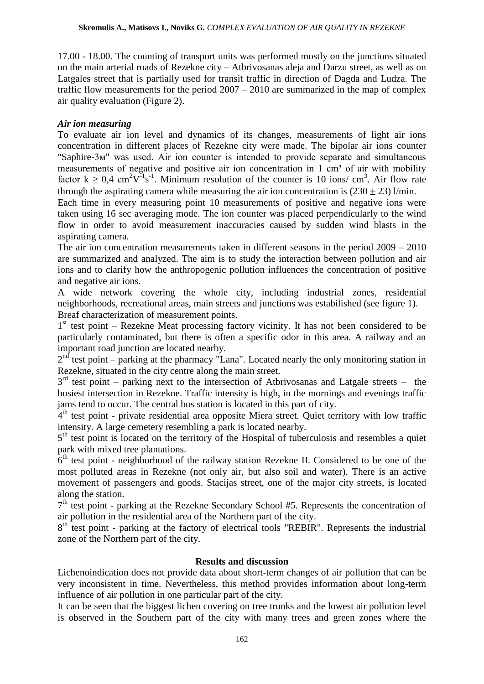17.00 - 18.00. The counting of transport units was performed mostly on the junctions situated on the main arterial roads of Rezekne city – Atbrivosanas aleja and Darzu street, as well as on Latgales street that is partially used for transit traffic in direction of Dagda and Ludza. The traffic flow measurements for the period 2007 – 2010 are summarized in the map of complex air quality evaluation (Figure 2).

### *Air ion measuring*

To evaluate air ion level and dynamics of its changes, measurements of light air ions concentration in different places of Rezekne city were made. The bipolar air ions counter "Saphire-3м" was used. Air ion counter is intended to provide separate and simultaneous measurements of negative and positive air ion concentration in  $1 \text{ cm}^3$  of air with mobility factor  $k \ge 0.4$  cm<sup>2</sup>V<sup>-1</sup>s<sup>-1</sup>. Minimum resolution of the counter is 10 ions/ cm<sup>3</sup>. Air flow rate through the aspirating camera while measuring the air ion concentration is  $(230 \pm 23)$  l/min.

Each time in every measuring point 10 measurements of positive and negative ions were taken using 16 sec averaging mode. The ion counter was placed perpendicularly to the wind flow in order to avoid measurement inaccuracies caused by sudden wind blasts in the aspirating camera.

The air ion concentration measurements taken in different seasons in the period 2009 – 2010 are summarized and analyzed. The aim is to study the interaction between pollution and air ions and to clarify how the anthropogenic pollution influences the concentration of positive and negative air ions.

A wide network covering the whole city, including industrial zones, residential neighborhoods, recreational areas, main streets and junctions was estabilished (see figure 1). Breaf characterization of measurement points.

1<sup>st</sup> test point – Rezekne Meat processing factory vicinity. It has not been considered to be particularly contaminated, but there is often a specific odor in this area. A railway and an important road junction are located nearby.

 $2<sup>nd</sup>$  test point – parking at the pharmacy "Lana". Located nearly the only monitoring station in Rezekne, situated in the city centre along the main street.

 $3<sup>rd</sup>$  test point – parking next to the intersection of Atbrivosanas and Latgale streets – the busiest intersection in Rezekne. Traffic intensity is high, in the mornings and evenings traffic jams tend to occur. The central bus station is located in this part of city.

4<sup>th</sup> test point - private residential area opposite Miera street. Quiet territory with low traffic intensity. A large cemetery resembling a park is located nearby.

5<sup>th</sup> test point is located on the territory of the Hospital of tuberculosis and resembles a quiet park with mixed tree plantations.

 $6<sup>th</sup>$  test point - neighborhood of the railway station Rezekne II. Considered to be one of the most polluted areas in Rezekne (not only air, but also soil and water). There is an active movement of passengers and goods. Stacijas street, one of the major city streets, is located along the station.

7<sup>th</sup> test point - parking at the Rezekne Secondary School #5. Represents the concentration of air pollution in the residential area of the Northern part of the city.

8<sup>th</sup> test point - parking at the factory of electrical tools "REBIR". Represents the industrial zone of the Northern part of the city.

### **Results and discussion**

Lichenoindication does not provide data about short-term changes of air pollution that can be very inconsistent in time. Nevertheless, this method provides information about long-term influence of air pollution in one particular part of the city.

It can be seen that the biggest lichen covering on tree trunks and the lowest air pollution level is observed in the Southern part of the city with many trees and green zones where the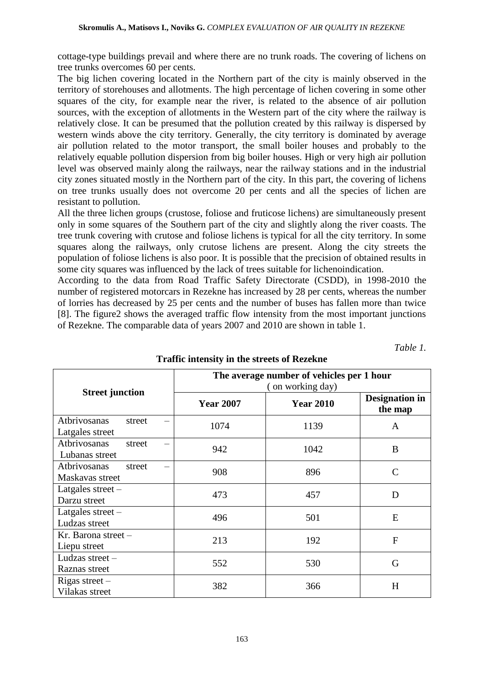cottage-type buildings prevail and where there are no trunk roads. The covering of lichens on tree trunks overcomes 60 per cents.

The big lichen covering located in the Northern part of the city is mainly observed in the territory of storehouses and allotments. The high percentage of lichen covering in some other squares of the city, for example near the river, is related to the absence of air pollution sources, with the exception of allotments in the Western part of the city where the railway is relatively close. It can be presumed that the pollution created by this railway is dispersed by western winds above the city territory. Generally, the city territory is dominated by average air pollution related to the motor transport, the small boiler houses and probably to the relatively equable pollution dispersion from big boiler houses. High or very high air pollution level was observed mainly along the railways, near the railway stations and in the industrial city zones situated mostly in the Northern part of the city. In this part, the covering of lichens on tree trunks usually does not overcome 20 per cents and all the species of lichen are resistant to pollution.

All the three lichen groups (crustose, foliose and fruticose lichens) are simultaneously present only in some squares of the Southern part of the city and slightly along the river coasts. The tree trunk covering with crutose and foliose lichens is typical for all the city territory. In some squares along the railways, only crutose lichens are present. Along the city streets the population of foliose lichens is also poor. It is possible that the precision of obtained results in some city squares was influenced by the lack of trees suitable for lichenoindication.

According to the data from Road Traffic Safety Directorate (CSDD), in 1998-2010 the number of registered motorcars in Rezekne has increased by 28 per cents, whereas the number of lorries has decreased by 25 per cents and the number of buses has fallen more than twice [8]. The figure2 shows the averaged traffic flow intensity from the most important junctions of Rezekne. The comparable data of years 2007 and 2010 are shown in table 1.

*Table 1.*

|                                           | The average number of vehicles per 1 hour<br>(on working day) |                  |                                  |  |
|-------------------------------------------|---------------------------------------------------------------|------------------|----------------------------------|--|
| <b>Street junction</b>                    | <b>Year 2007</b>                                              | <b>Year 2010</b> | <b>Designation</b> in<br>the map |  |
| Atbrivosanas<br>street<br>Latgales street | 1074                                                          | 1139             | A                                |  |
| Atbrivosanas<br>street<br>Lubanas street  | 942                                                           | 1042             | B                                |  |
| Atbrivosanas<br>street<br>Maskavas street | 908                                                           | 896              | $\mathsf{C}$                     |  |
| Latgales street -<br>Darzu street         | 473                                                           | 457              | D                                |  |
| Latgales street $-$<br>Ludzas street      | 496                                                           | 501              | E                                |  |
| $Kr.$ Barona street $-$<br>Liepu street   | 213                                                           | 192              | $\overline{F}$                   |  |
| Ludzas street $-$<br>Raznas street        | 552                                                           | 530              | G                                |  |
| Rigas street $-$<br>Vilakas street        | 382                                                           | 366              | H                                |  |

## **Traffic intensity in the streets of Rezekne**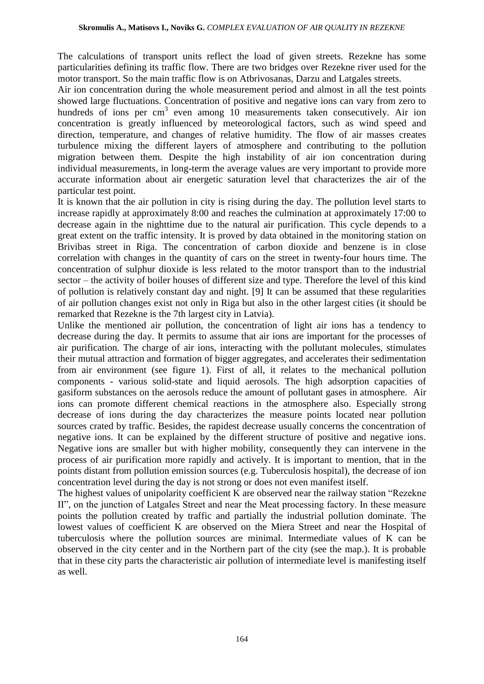The calculations of transport units reflect the load of given streets. Rezekne has some particularities defining its traffic flow. There are two bridges over Rezekne river used for the motor transport. So the main traffic flow is on Atbrivosanas, Darzu and Latgales streets.

Air ion concentration during the whole measurement period and almost in all the test points showed large fluctuations. Concentration of positive and negative ions can vary from zero to hundreds of ions per cm<sup>3</sup> even among 10 measurements taken consecutively. Air ion concentration is greatly influenced by meteorological factors, such as wind speed and direction, temperature, and changes of relative humidity. The flow of air masses creates turbulence mixing the different layers of atmosphere and contributing to the pollution migration between them. Despite the high instability of air ion concentration during individual measurements, in long-term the average values are very important to provide more accurate information about air energetic saturation level that characterizes the air of the particular test point.

It is known that the air pollution in city is rising during the day. The pollution level starts to increase rapidly at approximately 8:00 and reaches the culmination at approximately 17:00 to decrease again in the nighttime due to the natural air purification. This cycle depends to a great extent on the traffic intensity. It is proved by data obtained in the monitoring station on Brivibas street in Riga. The concentration of carbon dioxide and benzene is in close correlation with changes in the quantity of cars on the street in twenty-four hours time. The concentration of sulphur dioxide is less related to the motor transport than to the industrial sector – the activity of boiler houses of different size and type. Therefore the level of this kind of pollution is relatively constant day and night. [9] It can be assumed that these regularities of air pollution changes exist not only in Riga but also in the other largest cities (it should be remarked that Rezekne is the 7th largest city in Latvia).

Unlike the mentioned air pollution, the concentration of light air ions has a tendency to decrease during the day. It permits to assume that air ions are important for the processes of air purification. The charge of air ions, interacting with the pollutant molecules, stimulates their mutual attraction and formation of bigger aggregates, and accelerates their sedimentation from air environment (see figure 1). First of all, it relates to the mechanical pollution components - various solid-state and liquid aerosols. The high adsorption capacities of gasiform substances on the aerosols reduce the amount of pollutant gases in atmosphere. Air ions can promote different chemical reactions in the atmosphere also. Especially strong decrease of ions during the day characterizes the measure points located near pollution sources crated by traffic. Besides, the rapidest decrease usually concerns the concentration of negative ions. It can be explained by the different structure of positive and negative ions. Negative ions are smaller but with higher mobility, consequently they can intervene in the process of air purification more rapidly and actively. It is important to mention, that in the points distant from pollution emission sources (e.g. Tuberculosis hospital), the decrease of ion concentration level during the day is not strong or does not even manifest itself.

The highest values of unipolarity coefficient K are observed near the railway station "Rezekne II", on the junction of Latgales Street and near the Meat processing factory. In these measure points the pollution created by traffic and partially the industrial pollution dominate. The lowest values of coefficient K are observed on the Miera Street and near the Hospital of tuberculosis where the pollution sources are minimal. Intermediate values of K can be observed in the city center and in the Northern part of the city (see the map.). It is probable that in these city parts the characteristic air pollution of intermediate level is manifesting itself as well.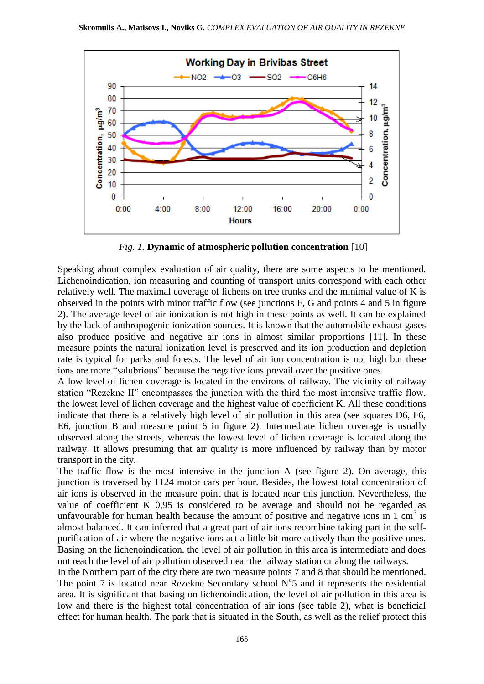

*Fig. 1.* **Dynamic of atmospheric pollution concentration** [10]

Speaking about complex evaluation of air quality, there are some aspects to be mentioned. Lichenoindication, ion measuring and counting of transport units correspond with each other relatively well. The maximal coverage of lichens on tree trunks and the minimal value of K is observed in the points with minor traffic flow (see junctions F, G and points 4 and 5 in figure 2). The average level of air ionization is not high in these points as well. It can be explained by the lack of anthropogenic ionization sources. It is known that the automobile exhaust gases also produce positive and negative air ions in almost similar proportions [11]. In these measure points the natural ionization level is preserved and its ion production and depletion rate is typical for parks and forests. The level of air ion concentration is not high but these ions are more "salubrious" because the negative ions prevail over the positive ones.

A low level of lichen coverage is located in the environs of railway. The vicinity of railway station "Rezekne II" encompasses the junction with the third the most intensive traffic flow, the lowest level of lichen coverage and the highest value of coefficient K. All these conditions indicate that there is a relatively high level of air pollution in this area (see squares D6, F6, E6, junction B and measure point 6 in figure 2). Intermediate lichen coverage is usually observed along the streets, whereas the lowest level of lichen coverage is located along the railway. It allows presuming that air quality is more influenced by railway than by motor transport in the city.

The traffic flow is the most intensive in the junction A (see figure 2). On average, this junction is traversed by 1124 motor cars per hour. Besides, the lowest total concentration of air ions is observed in the measure point that is located near this junction. Nevertheless, the value of coefficient K 0,95 is considered to be average and should not be regarded as unfavourable for human health because the amount of positive and negative ions in 1 cm<sup>3</sup> is almost balanced. It can inferred that a great part of air ions recombine taking part in the selfpurification of air where the negative ions act a little bit more actively than the positive ones. Basing on the lichenoindication, the level of air pollution in this area is intermediate and does not reach the level of air pollution observed near the railway station or along the railways.

In the Northern part of the city there are two measure points 7 and 8 that should be mentioned. The point 7 is located near Rezekne Secondary school  $N^*$ 5 and it represents the residential area. It is significant that basing on lichenoindication, the level of air pollution in this area is low and there is the highest total concentration of air ions (see table 2), what is beneficial effect for human health. The park that is situated in the South, as well as the relief protect this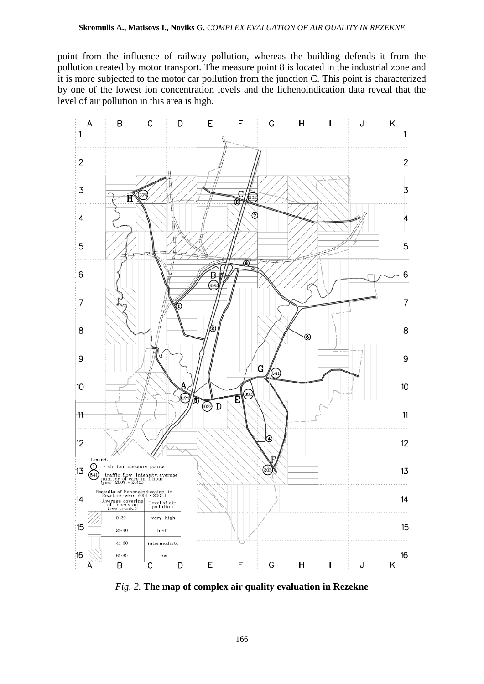point from the influence of railway pollution, whereas the building defends it from the pollution created by motor transport. The measure point 8 is located in the industrial zone and it is more subjected to the motor car pollution from the junction C. This point is characterized by one of the lowest ion concentration levels and the lichenoindication data reveal that the level of air pollution in this area is high.



*Fig. 2.* **The map of complex air quality evaluation in Rezekne**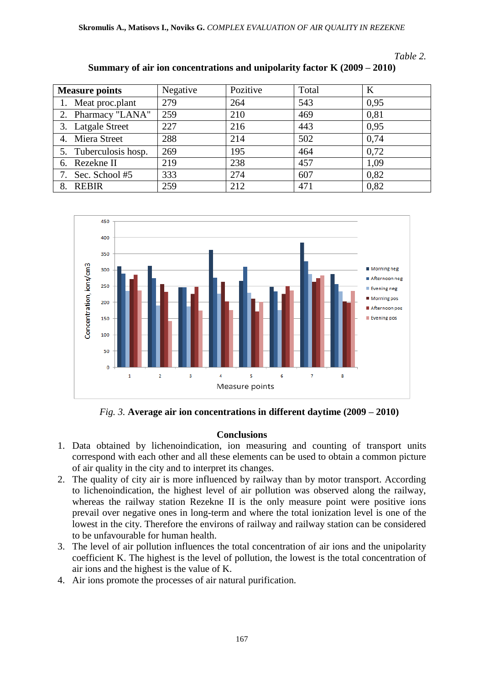*Table 2.*

| <b>Measure points</b> | Negative | Pozitive | Total | K    |
|-----------------------|----------|----------|-------|------|
| 1. Meat proc.plant    | 279      | 264      | 543   | 0.95 |
| 2. Pharmacy "LANA"    | 259      | 210      | 469   | 0,81 |
| 3. Latgale Street     | 227      | 216      | 443   | 0,95 |
| 4. Miera Street       | 288      | 214      | 502   | 0,74 |
| 5. Tuberculosis hosp. | 269      | 195      | 464   | 0,72 |
| 6. Rezekne II         | 219      | 238      | 457   | 1,09 |
| Sec. School #5        | 333      | 274      | 607   | 0,82 |
| <b>REBIR</b><br>8.    | 259      | 212      | 471   | 0,82 |





*Fig. 3.* **Average air ion concentrations in different daytime (2009 – 2010)**

### **Conclusions**

- 1. Data obtained by lichenoindication, ion measuring and counting of transport units correspond with each other and all these elements can be used to obtain a common picture of air quality in the city and to interpret its changes.
- 2. The quality of city air is more influenced by railway than by motor transport. According to lichenoindication, the highest level of air pollution was observed along the railway, whereas the railway station Rezekne II is the only measure point were positive ions prevail over negative ones in long-term and where the total ionization level is one of the lowest in the city. Therefore the environs of railway and railway station can be considered to be unfavourable for human health.
- 3. The level of air pollution influences the total concentration of air ions and the unipolarity coefficient K. The highest is the level of pollution, the lowest is the total concentration of air ions and the highest is the value of K.
- 4. Air ions promote the processes of air natural purification.